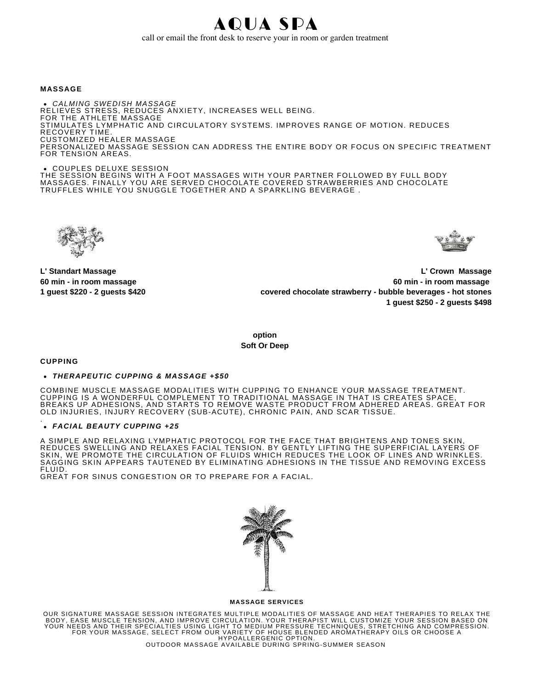AQUA SPA call or email the front desk to reserve your in room or garden treatment

#### **MASSAGE**

*CALMING SWEDISH MASSAGE* RELIEVES STRESS, REDUCES ANXIETY, INCREASES WELL BEING. FOR THE ATHLETE MASSAGE STIMULATES LYMPHATIC AND CIRCULATORY SYSTEMS. IMPROVES RANGE OF MOTION. REDUCES RECOVERY TIME. CUSTOMIZED HEALER MASSAGE PERSONALIZED MASSAGE SESSION CAN ADDRESS THE ENTIRE BODY OR FOCUS ON SPECIFIC TREATMENT FOR TENSION AREAS.

COUPLES DELUXE SESSION

THE SESSION BEGINS WITH A FOOT MASSAGES WITH YOUR PARTNER FOLLOWED BY FULL BODY MASSAGES. FINALLY YOU ARE SERVED CHOCOLATE COVERED STRAWBERRIES AND CHOCOLATE TRUFFLES WHILE YOU SNUGGLE TOGETHER AND A SPARKLING BEVERAGE .





**L' Standart Massage 60 min - in room massage 1 guest \$220 - 2 guests \$420**

**L' Crown Massage 60 min - in room massage covered chocolate strawberry - bubble beverages - hot stones 1 guest \$250 - 2 guests \$498**

**option Soft Or Deep** 

**CUPPING** 

#### *THERAPEUTIC CUPPING & MASSAGE +\$50*

COMBINE MUSCLE MASSAGE MODALITIES WITH CUPPING TO ENHANCE YOUR MASSAGE TREATMENT. CUPPING IS A WONDERFUL COMPLEMENT TO TRADITIONAL MASSAGE IN THAT IS CREATES SPACE, BREAKS UP ADHESIONS, AND STARTS TO REMOVE WASTE PRODUCT FROM ADHERED AREAS. GREAT FOR OLD INJURIES, INJURY RECOVERY (SUB-ACUTE), CHRONIC PAIN, AND SCAR TISSUE.

#### *FACIAL BEAUTY CUPPING +25* .

A SIMPLE AND RELAXING LYMPHATIC PROTOCOL FOR THE FACE THAT BRIGHTENS AND TONES SKIN, REDUCES SWELLING AND RELAXES FACIAL TENSION. BY GENTLY LIFTING THE SUPERFICIAL LAYERS OF SKIN, WE PROMOTE THE CIRCULATION OF FLUIDS WHICH REDUCES THE LOOK OF LINES AND WRINKLES. SAGGING SKIN APPEARS TAUTENED BY ELIMINATING ADHESIONS IN THE TISSUE AND REMOVING EXCESS FLUID.

GREAT FOR SINUS CONGESTION OR TO PREPARE FOR A FACIAL.

| M, | Ň |
|----|---|
| Ñ  | 多 |
|    |   |

### **MASSAGE SERVICES**

OUR SIGNATURE MASSAGE SESSION INTEGRATES MULTIPLE MODALITIES OF MASSAGE AND HEAT THERAPIES TO RELAX THE<br>BODY, EASE MUSCLE TENSION, AND IMPROVE CIRCULATION. YOUR THERAPIST WILL CUSTOMIZE YOUR SESSION BASED ON<br>YOUR NEEDS AND